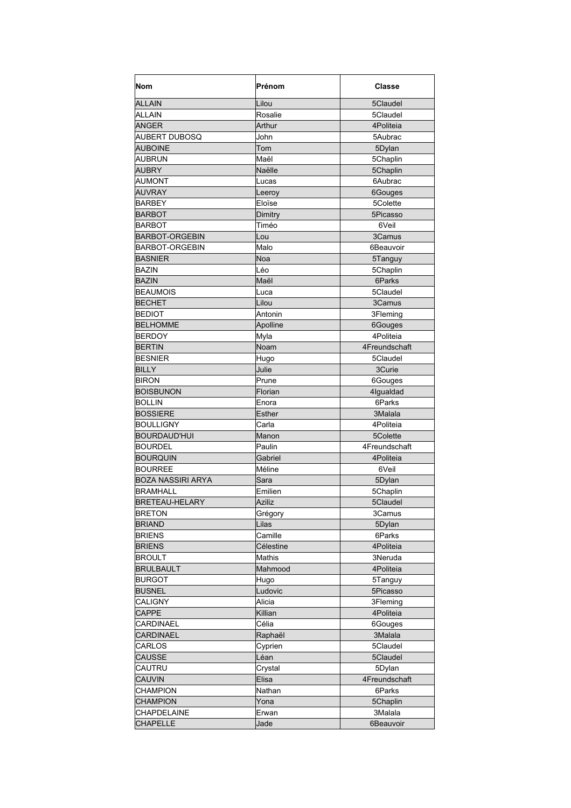| <b>Nom</b>               | Prénom        | <b>Classe</b>        |
|--------------------------|---------------|----------------------|
| <b>ALLAIN</b>            | Lilou         | 5Claudel             |
| <b>ALLAIN</b>            | Rosalie       | 5Claudel             |
| <b>ANGER</b>             | Arthur        | 4Politeia            |
| AUBERT DUBOSQ            | John          | 5Aubrac              |
| <b>AUBOINE</b>           | Tom           | 5Dylan               |
| AUBRUN                   | Maël          | 5Chaplin             |
| AUBRY                    | Naëlle        | 5Chaplin             |
| <b>AUMONT</b>            | Lucas         | 6Aubrac              |
| <b>AUVRAY</b>            | Leeroy        | 6Gouges              |
| BARBEY                   | Eloïse        | 5Colette             |
| BARBOT                   | Dimitry       | 5Picasso             |
| <b>BARBOT</b>            | Timéo         | 6Veil                |
| <b>BARBOT-ORGEBIN</b>    | Lou           | 3Camus               |
| BARBOT-ORGEBIN           | Malo          | 6Beauvoir            |
| <b>BASNIER</b>           | Noa           | 5Tanguy              |
| <b>BAZIN</b>             | Léo           | 5Chaplin             |
| <b>BAZIN</b>             | Maël          | 6Parks               |
| <b>BEAUMOIS</b>          | Luca          | 5Claudel             |
| <b>BECHET</b>            | Lilou         | 3Camus               |
| <b>BEDIOT</b>            | Antonin       | 3Fleming             |
| <b>BELHOMME</b>          |               |                      |
| <b>BERDOY</b>            | Apolline      | 6Gouges<br>4Politeia |
|                          | Myla          |                      |
| <b>BERTIN</b>            | Noam          | 4Freundschaft        |
| <b>BESNIER</b>           | Hugo          | 5Claudel             |
| <b>BILLY</b>             | Julie         | 3Curie               |
| <b>BIRON</b>             | Prune         | 6Gouges              |
| <b>BOISBUNON</b>         | Florian       | 4lgualdad            |
| <b>BOLLIN</b>            | Enora         | 6Parks               |
| <b>BOSSIERE</b>          | <b>Esther</b> | 3Malala              |
| <b>BOULLIGNY</b>         | Carla         | 4Politeia            |
| BOURDAUD'HUI             | Manon         | 5Colette             |
| <b>BOURDEL</b>           | Paulin        | 4Freundschaft        |
| <b>BOURQUIN</b>          | Gabriel       | 4Politeia            |
| <b>BOURREE</b>           | Méline        | 6Veil                |
| <b>BOZA NASSIRI ARYA</b> | Sara          | 5Dylan               |
| <b>BRAMHALL</b>          | Emilien       | 5Chaplin             |
| <b>BRETEAU-HELARY</b>    | Aziliz        | 5Claudel             |
| <b>BRETON</b>            | Grégory       | 3Camus               |
| <b>BRIAND</b>            | Lilas         | 5Dylan               |
| <b>BRIENS</b>            | Camille       | 6Parks               |
| <b>BRIENS</b>            | Célestine     | 4Politeia            |
| <b>BROULT</b>            | Mathis        | 3Neruda              |
| <b>BRULBAULT</b>         | Mahmood       | 4Politeia            |
| <b>BURGOT</b>            | Hugo          | 5Tanguy              |
| <b>BUSNEL</b>            | Ludovic       | 5Picasso             |
| CALIGNY                  | Alicia        | 3Fleming             |
| <b>CAPPE</b>             | Killian       | 4Politeia            |
| CARDINAEL                | Célia         | 6Gouges              |
| CARDINAEL                | Raphaël       | 3Malala              |
| CARLOS                   | Cyprien       | 5Claudel             |
| CAUSSE                   | Léan          | 5Claudel             |
| CAUTRU                   | Crystal       | 5Dylan               |
| <b>CAUVIN</b>            | Elisa         | 4Freundschaft        |
| <b>CHAMPION</b>          | Nathan        | 6Parks               |
| <b>CHAMPION</b>          | Yona          | 5Chaplin             |
| CHAPDELAINE              | Erwan         | 3Malala              |
| <b>CHAPELLE</b>          | Jade          | 6Beauvoir            |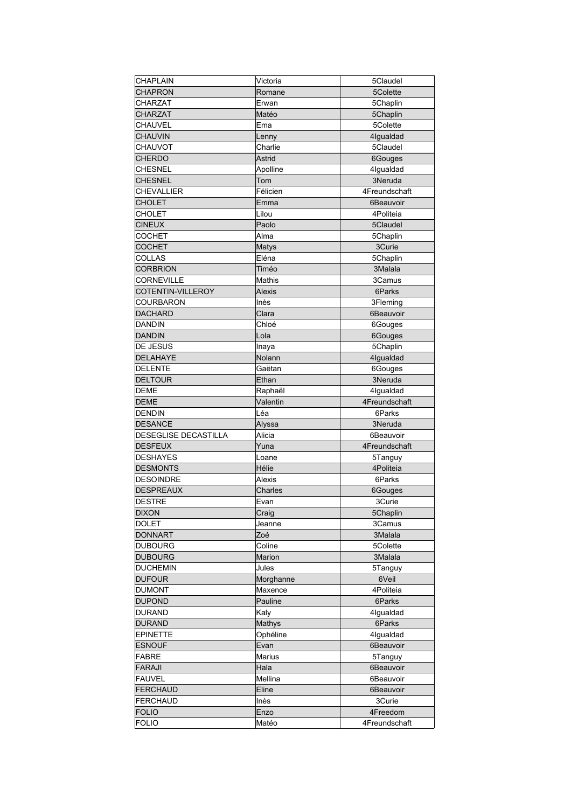| <b>CHAPLAIN</b>      | Victoria       | 5Claudel            |
|----------------------|----------------|---------------------|
| <b>CHAPRON</b>       | Romane         | 5Colette            |
| CHARZAT              | Erwan          | 5Chaplin            |
| <b>CHARZAT</b>       | Matéo          | 5Chaplin            |
| CHAUVEL              | Ema            | 5Colette            |
| <b>CHAUVIN</b>       | Lenny          | 4lgualdad           |
| CHAUVOT              | Charlie        | 5Claudel            |
| <b>CHERDO</b>        | Astrid         | 6Gouges             |
| CHESNEL              | Apolline       | 4lgualdad           |
| <b>CHESNEL</b>       | Tom            | 3Neruda             |
| <b>CHEVALLIER</b>    | Félicien       | 4Freundschaft       |
| <b>CHOLET</b>        | Emma           | 6Beauvoir           |
| CHOLET               | Lilou          | 4Politeia           |
| <b>CINEUX</b>        | Paolo          | 5Claudel            |
| <b>COCHET</b>        | Alma           | 5Chaplin            |
| <b>COCHET</b>        |                | 3Curie              |
| <b>COLLAS</b>        | Matys<br>Eléna |                     |
|                      |                | 5Chaplin<br>3Malala |
| <b>CORBRION</b>      | Timéo          |                     |
| <b>CORNEVILLE</b>    | Mathis         | 3Camus              |
| COTENTIN-VILLEROY    | Alexis         | 6Parks              |
| COURBARON            | Inès           | 3Fleming            |
| <b>DACHARD</b>       | Clara          | 6Beauvoir           |
| <b>DANDIN</b>        | Chloé          | 6Gouges             |
| <b>DANDIN</b>        | Lola           | 6Gouges             |
| DE JESUS             | Inaya          | 5Chaplin            |
| <b>DELAHAYE</b>      | Nolann         | 4lgualdad           |
| <b>DELENTE</b>       | Gaëtan         | 6Gouges             |
| <b>DELTOUR</b>       | Ethan          | 3Neruda             |
| DEME                 | Raphaël        | 4lgualdad           |
| DEME                 | Valentin       | 4Freundschaft       |
| <b>DENDIN</b>        | Léa            | 6Parks              |
| <b>DESANCE</b>       | Alyssa         | 3Neruda             |
| DESEGLISE DECASTILLA | Alicia         | 6Beauvoir           |
| <b>DESFEUX</b>       | Yuna           | 4Freundschaft       |
| <b>DESHAYES</b>      | Loane          | 5Tanguy             |
| <b>DESMONTS</b>      | Hélie          | 4Politeia           |
| <b>DESOINDRE</b>     | <b>Alexis</b>  | 6Parks              |
| <b>DESPREAUX</b>     | Charles        | 6Gouges             |
| <b>DESTRE</b>        | Evan           | 3Curie              |
| <b>DIXON</b>         | Craig          | 5Chaplin            |
| DOLET                | Jeanne         | 3Camus              |
| <b>DONNART</b>       | Zoé            | 3Malala             |
| <b>DUBOURG</b>       | Coline         | 5Colette            |
| <b>DUBOURG</b>       | Marion         | 3Malala             |
| <b>DUCHEMIN</b>      | Jules          | 5Tanguy             |
| <b>DUFOUR</b>        | Morghanne      | 6Veil               |
| <b>DUMONT</b>        | Maxence        | 4Politeia           |
| <b>DUPOND</b>        | Pauline        | 6Parks              |
| <b>DURAND</b>        | Kaly           | 4Igualdad           |
| <b>DURAND</b>        | Mathys         | 6Parks              |
| <b>EPINETTE</b>      | Ophéline       | 4Igualdad           |
| <b>ESNOUF</b>        | Evan           | 6Beauvoir           |
| FABRE                | Marius         |                     |
|                      |                | 5Tanguy             |
| <b>FARAJI</b>        | Hala           | 6Beauvoir           |
| <b>FAUVEL</b>        | Mellina        | 6Beauvoir           |
| <b>FERCHAUD</b>      | Eline          | 6Beauvoir           |
| <b>FERCHAUD</b>      | Inès           | 3Curie              |
| <b>FOLIO</b>         | Enzo           | 4Freedom            |
| <b>FOLIO</b>         | Matéo          | 4Freundschaft       |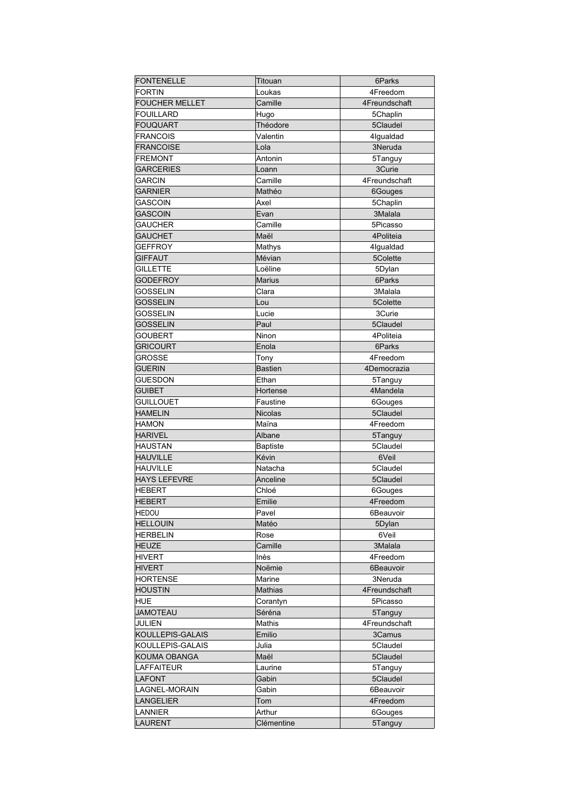| <b>FONTENELLE</b>     | Titouan        | 6Parks        |
|-----------------------|----------------|---------------|
| <b>FORTIN</b>         | Loukas         | 4Freedom      |
| <b>FOUCHER MELLET</b> | Camille        | 4Freundschaft |
| <b>FOUILLARD</b>      | Hugo           | 5Chaplin      |
| <b>FOUQUART</b>       | Théodore       | 5Claudel      |
| <b>FRANCOIS</b>       | Valentin       | 4lgualdad     |
| <b>FRANCOISE</b>      | Lola           | 3Neruda       |
| <b>FREMONT</b>        | Antonin        | 5Tanguy       |
| <b>GARCERIES</b>      | Loann          | 3Curie        |
| <b>GARCIN</b>         | Camille        | 4Freundschaft |
| GARNIER               | Mathéo         | 6Gouges       |
|                       |                |               |
| GASCOIN               | Axel           | 5Chaplin      |
| <b>GASCOIN</b>        | Evan           | 3Malala       |
| GAUCHER               | Camille        | 5Picasso      |
| <b>GAUCHET</b>        | Maël           | 4Politeia     |
| GEFFROY               | Mathys         | 4lgualdad     |
| <b>GIFFAUT</b>        | Mévian         | 5Colette      |
| <b>GILLETTE</b>       | Loëline        | 5Dylan        |
| <b>GODEFROY</b>       | <b>Marius</b>  | 6Parks        |
| <b>GOSSELIN</b>       | Clara          | 3Malala       |
| <b>GOSSELIN</b>       | Lou            | 5Colette      |
| <b>GOSSELIN</b>       | Lucie          | 3Curie        |
| <b>GOSSELIN</b>       | Paul           | 5Claudel      |
| <b>GOUBERT</b>        | Ninon          | 4Politeia     |
| <b>GRICOURT</b>       | Enola          | 6Parks        |
| GROSSE                | Tony           | 4Freedom      |
| <b>GUERIN</b>         | <b>Bastien</b> | 4Democrazia   |
| <b>GUESDON</b>        | Ethan          | 5Tanguy       |
| <b>GUIBET</b>         | Hortense       | 4Mandela      |
| <b>GUILLOUET</b>      | Faustine       | 6Gouges       |
| <b>HAMELIN</b>        | <b>Nicolas</b> | 5Claudel      |
| <b>HAMON</b>          | Maïna          | 4Freedom      |
| <b>HARIVEL</b>        | Albane         | 5Tanguy       |
| <b>HAUSTAN</b>        | Baptiste       | 5Claudel      |
| <b>HAUVILLE</b>       | Kévin          | 6Veil         |
| <b>HAUVILLE</b>       | Natacha        | 5Claudel      |
| <b>HAYS LEFEVRE</b>   | Anceline       | 5Claudel      |
| <b>HEBERT</b>         |                |               |
|                       | Chloé          | 6Gouges       |
| <b>HEBERT</b>         | Emilie         | 4Freedom      |
| <b>HEDOU</b>          | Pavel          | 6Beauvoir     |
| <b>HELLOUIN</b>       | Matéo          | 5Dylan        |
| <b>HERBELIN</b>       | Rose           | 6Veil         |
| <b>HEUZE</b>          | Camille        | 3Malala       |
| <b>HIVERT</b>         | Inès           | 4Freedom      |
| <b>HIVERT</b>         | Noëmie         | 6Beauvoir     |
| <b>HORTENSE</b>       | Marine         | 3Neruda       |
| <b>HOUSTIN</b>        | Mathias        | 4Freundschaft |
| <b>HUE</b>            | Corantyn       | 5Picasso      |
| <b>JAMOTEAU</b>       | Séréna         | 5Tanguy       |
| <b>JULIEN</b>         | Mathis         | 4Freundschaft |
| KOULLEPIS-GALAIS      | Emilio         | 3Camus        |
| KOULLEPIS-GALAIS      | Julia          | 5Claudel      |
| KOUMA OBANGA          | Maël           | 5Claudel      |
| <b>LAFFAITEUR</b>     | Laurine        | 5Tanguy       |
| <b>LAFONT</b>         | Gabin          | 5Claudel      |
| LAGNEL-MORAIN         | Gabin          | 6Beauvoir     |
| <b>LANGELIER</b>      | Tom            | 4Freedom      |
| LANNIER               | Arthur         | 6Gouges       |
| LAURENT               | Clémentine     | 5Tanguy       |
|                       |                |               |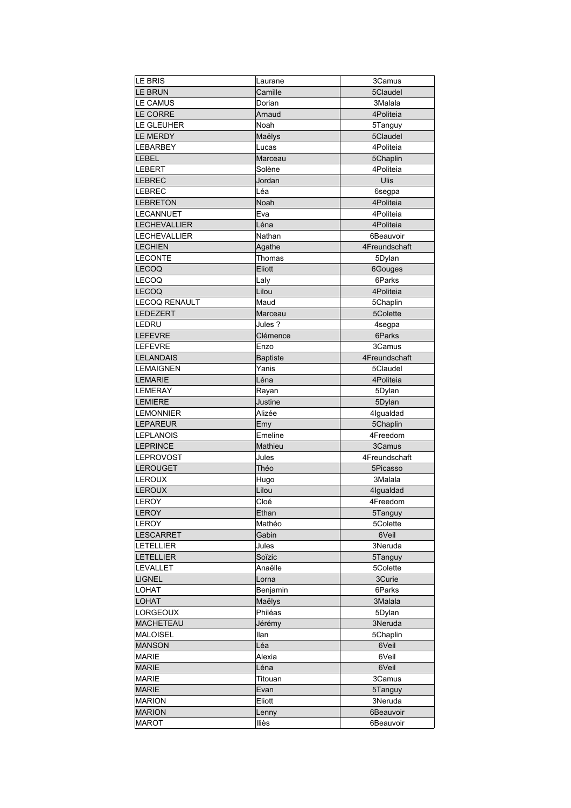| LE BRIS                          | Laurane         | 3Camus        |
|----------------------------------|-----------------|---------------|
| <b>LE BRUN</b>                   | Camille         | 5Claudel      |
| <b>LE CAMUS</b>                  | Dorian          | 3Malala       |
| <b>LE CORRE</b>                  | Arnaud          | 4Politeia     |
| LE GLEUHER                       | Noah            | 5Tanguy       |
| <b>LE MERDY</b>                  | Maëlys          | 5Claudel      |
| LEBARBEY                         | Lucas           | 4Politeia     |
| <b>LEBEL</b>                     |                 |               |
|                                  | Marceau         | 5Chaplin      |
| <b>LEBERT</b>                    | Solène          | 4Politeia     |
| <b>LEBREC</b>                    | Jordan          | Ulis          |
| <b>LEBREC</b>                    | Léa             | 6segpa        |
| <b>LEBRETON</b>                  | Noah            | 4Politeia     |
| LECANNUET                        | Eva             | 4Politeia     |
| <b>LECHEVALLIER</b>              | Léna            | 4Politeia     |
| LECHEVALLIER                     | Nathan          | 6Beauvoir     |
| <b>LECHIEN</b>                   | Agathe          | 4Freundschaft |
| <b>LECONTE</b>                   | Thomas          | 5Dylan        |
| <b>LECOQ</b>                     | Eliott          | 6Gouges       |
| <b>LECOQ</b>                     | Laly            | 6Parks        |
| <b>LECOQ</b>                     | Lilou           | 4Politeia     |
| LECOQ RENAULT                    | Maud            | 5Chaplin      |
| <b>LEDEZERT</b>                  | Marceau         | 5Colette      |
| LEDRU                            | Jules ?         | 4segpa        |
| <b>LEFEVRE</b>                   | Clémence        | 6Parks        |
| <b>LEFEVRE</b>                   | Enzo            | 3Camus        |
| <b>LELANDAIS</b>                 | <b>Baptiste</b> | 4Freundschaft |
| LEMAIGNEN                        | Yanis           | 5Claudel      |
|                                  |                 |               |
| <b>LEMARIE</b><br><b>LEMERAY</b> | Léna            | 4Politeia     |
|                                  | Rayan           | 5Dylan        |
| <b>LEMIERE</b>                   | Justine         | 5Dylan        |
| <b>LEMONNIER</b>                 | Alizée          | 4lgualdad     |
| <b>LEPAREUR</b>                  | Emy             | 5Chaplin      |
| <b>LEPLANOIS</b>                 | Emeline         | 4Freedom      |
| <b>LEPRINCE</b>                  | Mathieu         | 3Camus        |
| <b>LEPROVOST</b>                 | Jules           | 4Freundschaft |
| <b>LEROUGET</b>                  | Théo            | 5Picasso      |
| LEROUX                           | Hugo            | 3Malala       |
| <b>LEROUX</b>                    | Lilou           | 4Iqualdad     |
| LEROY                            | Cloé            | 4Freedom      |
| <b>LEROY</b>                     | Ethan           | 5Tanguy       |
| LEROY                            | Mathéo          | 5Colette      |
| <b>LESCARRET</b>                 | Gabin           | 6Veil         |
| <b>LETELLIER</b>                 | Jules           | 3Neruda       |
| <b>LETELLIER</b>                 | Soïzic          | 5Tanguy       |
| <b>LEVALLET</b>                  | Anaëlle         | 5Colette      |
| <b>LIGNEL</b>                    | Lorna           | 3Curie        |
| LOHAT                            | Benjamin        | 6Parks        |
| <b>LOHAT</b>                     | Maëlys          | 3Malala       |
| LORGEOUX                         | Philéas         | 5Dylan        |
| <b>MACHETEAU</b>                 | Jérémy          | 3Neruda       |
| <b>MALOISEL</b>                  | Ilan            | 5Chaplin      |
|                                  |                 |               |
| <b>MANSON</b>                    | Léa             | 6Veil         |
| MARIE                            | Alexia          | 6Veil         |
| <b>MARIE</b>                     | Léna            | 6Veil         |
| <b>MARIE</b>                     | Titouan         | 3Camus        |
| <b>MARIE</b>                     | Evan            | 5Tanguy       |
| <b>MARION</b>                    | Eliott          | 3Neruda       |
| <b>MARION</b>                    | Lenny           | 6Beauvoir     |
| <b>MAROT</b>                     | lliès           | 6Beauvoir     |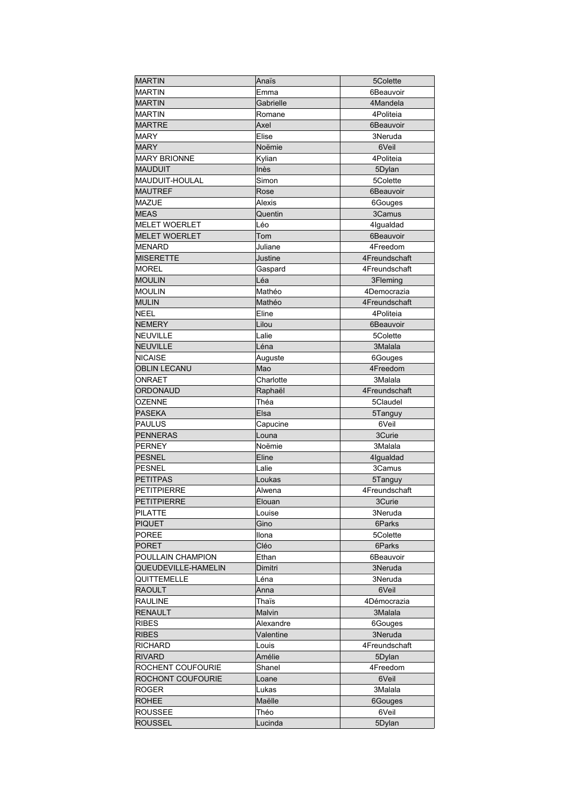| <b>MARTIN</b>        | Anaïs     | 5Colette      |
|----------------------|-----------|---------------|
| <b>MARTIN</b>        | Emma      | 6Beauvoir     |
| <b>MARTIN</b>        | Gabrielle | 4Mandela      |
| <b>MARTIN</b>        | Romane    | 4Politeia     |
| <b>MARTRE</b>        | Axel      | 6Beauvoir     |
| MARY                 | Elise     | 3Neruda       |
| <b>MARY</b>          | Noëmie    | 6Veil         |
| <b>MARY BRIONNE</b>  | Kylian    | 4Politeia     |
| <b>MAUDUIT</b>       | Inès      | 5Dylan        |
| MAUDUIT-HOULAL       | Simon     | 5Colette      |
| <b>MAUTREF</b>       | Rose      | 6Beauvoir     |
| MAZUE                | Alexis    | 6Gouges       |
| <b>MEAS</b>          | Quentin   | 3Camus        |
| <b>MELET WOERLET</b> | Léo       | 4lgualdad     |
| <b>MELET WOERLET</b> | Tom       | 6Beauvoir     |
| <b>MENARD</b>        | Juliane   | 4Freedom      |
| MISERETTE            | Justine   | 4Freundschaft |
| <b>MOREL</b>         |           |               |
|                      | Gaspard   | 4Freundschaft |
| <b>MOULIN</b>        | Léa       | 3Fleming      |
| <b>MOULIN</b>        | Mathéo    | 4Democrazia   |
| <b>MULIN</b>         | Mathéo    | 4Freundschaft |
| <b>NEEL</b>          | Eline     | 4Politeia     |
| <b>NEMERY</b>        | Lilou     | 6Beauvoir     |
| NEUVILLE             | Lalie     | 5Colette      |
| <b>NEUVILLE</b>      | Léna      | 3Malala       |
| NICAISE              | Auguste   | 6Gouges       |
| <b>OBLIN LECANU</b>  | Mao       | 4Freedom      |
| ONRAET               | Charlotte | 3Malala       |
| ORDONAUD             | Raphaël   | 4Freundschaft |
| <b>OZENNE</b>        | Théa      | 5Claudel      |
| <b>PASEKA</b>        | Elsa      | 5Tanguy       |
| PAULUS               | Capucine  | 6Veil         |
| <b>PENNERAS</b>      | Louna     | 3Curie        |
| <b>PERNEY</b>        | Noëmie    | 3Malala       |
| <b>PESNEL</b>        | Eline     | 4lgualdad     |
| <b>PESNEL</b>        | Lalie     | 3Camus        |
| <b>PETITPAS</b>      | Loukas    | 5Tanguy       |
| <b>PETITPIERRE</b>   | Alwena    | 4Freundschaft |
| <b>PETITPIERRE</b>   | Elouan    | 3Curie        |
| PILATTE              | Louise    | 3Neruda       |
| <b>PIQUET</b>        | Gino      | 6Parks        |
| <b>POREE</b>         | Ilona     | 5Colette      |
| <b>PORET</b>         | Cléo      | 6Parks        |
| POULLAIN CHAMPION    | Ethan     | 6Beauvoir     |
| QUEUDEVILLE-HAMELIN  | Dimitri   | 3Neruda       |
| QUITTEMELLE          | Léna      | 3Neruda       |
| <b>RAOULT</b>        | Anna      | 6Veil         |
| <b>RAULINE</b>       | Thaïs     | 4Démocrazia   |
| <b>RENAULT</b>       | Malvin    | 3Malala       |
| <b>RIBES</b>         | Alexandre | 6Gouges       |
| <b>RIBES</b>         | Valentine | 3Neruda       |
| RICHARD              | Louis     | 4Freundschaft |
| <b>RIVARD</b>        | Amélie    | 5Dylan        |
| ROCHENT COUFOURIE    | Shanel    | 4Freedom      |
| ROCHONT COUFOURIE    | Loane     | 6Veil         |
| ROGER                | Lukas     | 3Malala       |
| <b>ROHEE</b>         | Maëlle    | 6Gouges       |
| <b>ROUSSEE</b>       | Théo      | 6Veil         |
| <b>ROUSSEL</b>       | Lucinda   | 5Dylan        |
|                      |           |               |